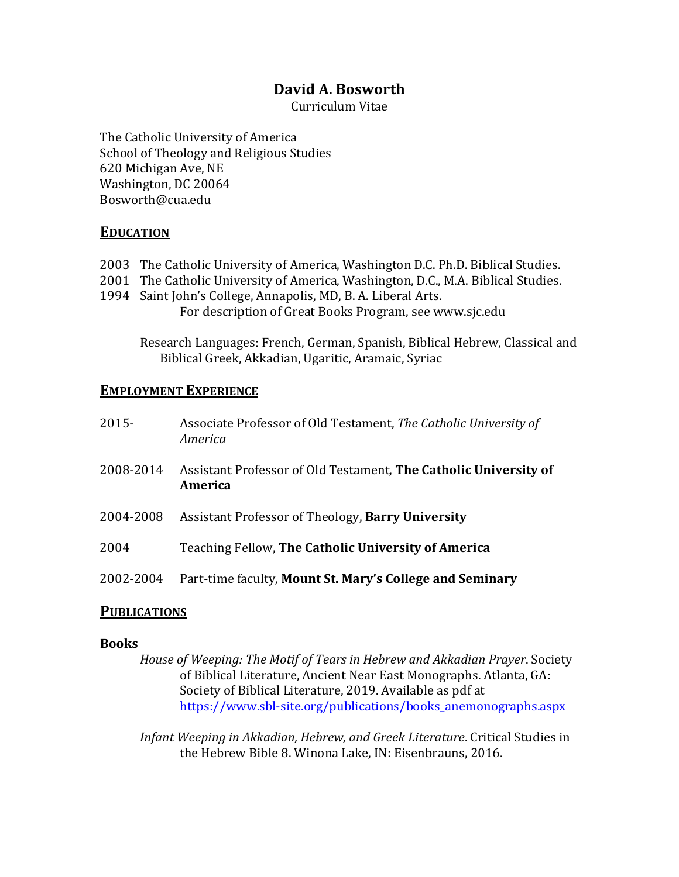# **David A. Bosworth**

Curriculum Vitae

The Catholic University of America School of Theology and Religious Studies 620 Michigan Ave, NE Washington, DC 20064 Bosworth@cua.edu

## **EDUCATION**

- 2003 The Catholic University of America, Washington D.C. Ph.D. Biblical Studies.
- 2001 The Catholic University of America, Washington, D.C., M.A. Biblical Studies.
- 1994 Saint John's College, Annapolis, MD, B. A. Liberal Arts. For description of Great Books Program, see www.sjc.edu

Research Languages: French, German, Spanish, Biblical Hebrew, Classical and Biblical Greek, Akkadian, Ugaritic, Aramaic, Syriac

## **EMPLOYMENT EXPERIENCE**

| $2015 -$  | Associate Professor of Old Testament, The Catholic University of<br>America |
|-----------|-----------------------------------------------------------------------------|
| 2008-2014 | Assistant Professor of Old Testament, The Catholic University of<br>America |
| 2004-2008 | Assistant Professor of Theology, Barry University                           |
| 2004      | Teaching Fellow, The Catholic University of America                         |
| 2002-2004 | Part-time faculty, Mount St. Mary's College and Seminary                    |

## **PUBLICATIONS**

## **Books**

*House of Weeping: The Motif of Tears in Hebrew and Akkadian Prayer*. Society of Biblical Literature, Ancient Near East Monographs. Atlanta, GA: Society of Biblical Literature, 2019. Available as pdf at https://www.sbl-site.org/publications/books\_anemonographs.aspx

*Infant Weeping in Akkadian, Hebrew, and Greek Literature.* Critical Studies in the Hebrew Bible 8. Winona Lake, IN: Eisenbrauns, 2016.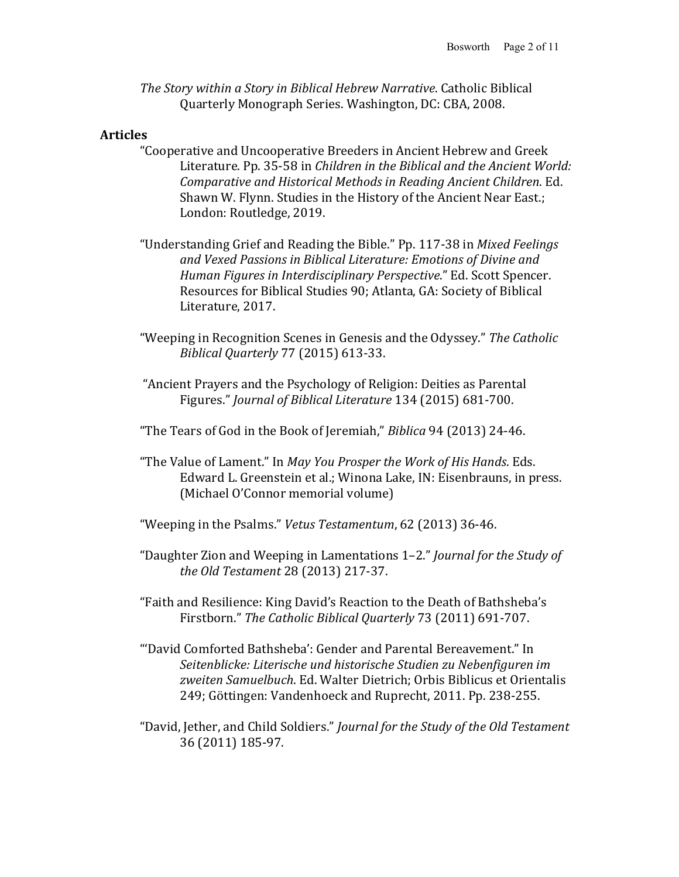*The Story within a Story in Biblical Hebrew Narrative.* Catholic Biblical Quarterly Monograph Series. Washington, DC: CBA, 2008.

#### **Articles**

- "Cooperative and Uncooperative Breeders in Ancient Hebrew and Greek Literature. Pp. 35-58 in *Children in the Biblical and the Ancient World: Comparative and Historical Methods in Reading Ancient Children.* Ed. Shawn W. Flynn. Studies in the History of the Ancient Near East.; London: Routledge, 2019.
- "Understanding Grief and Reading the Bible." Pp. 117-38 in *Mixed Feelings* and Vexed Passions in Biblical Literature: Emotions of Divine and *Human Figures in Interdisciplinary Perspective."* Ed. Scott Spencer. Resources for Biblical Studies 90; Atlanta, GA: Society of Biblical Literature, 2017.
- "Weeping in Recognition Scenes in Genesis and the Odyssey." The Catholic *Biblical Quarterly* 77 (2015) 613-33.
- "Ancient Prayers and the Psychology of Religion: Deities as Parental Figures." *Journal of Biblical Literature* 134 (2015) 681-700.
- "The Tears of God in the Book of Jeremiah," *Biblica* 94 (2013) 24-46.
- "The Value of Lament." In *May You Prosper the Work of His Hands*. Eds. Edward L. Greenstein et al.; Winona Lake, IN: Eisenbrauns, in press. (Michael O'Connor memorial volume)
- "Weeping in the Psalms." *Vetus Testamentum*, 62 (2013) 36-46.
- "Daughter Zion and Weeping in Lamentations 1-2." *Journal for the Study of the Old Testament* 28 (2013) 217-37.
- "Faith and Resilience: King David's Reaction to the Death of Bathsheba's Firstborn." The Catholic Biblical Quarterly 73 (2011) 691-707.
- "'David Comforted Bathsheba': Gender and Parental Bereavement." In *Seitenblicke: Literische und historische Studien zu Nebenfiguren im*  zweiten Samuelbuch. Ed. Walter Dietrich; Orbis Biblicus et Orientalis 249; Göttingen: Vandenhoeck and Ruprecht, 2011. Pp. 238-255.
- "David, Jether, and Child Soldiers." *Journal for the Study of the Old Testament* 36 (2011) 185-97.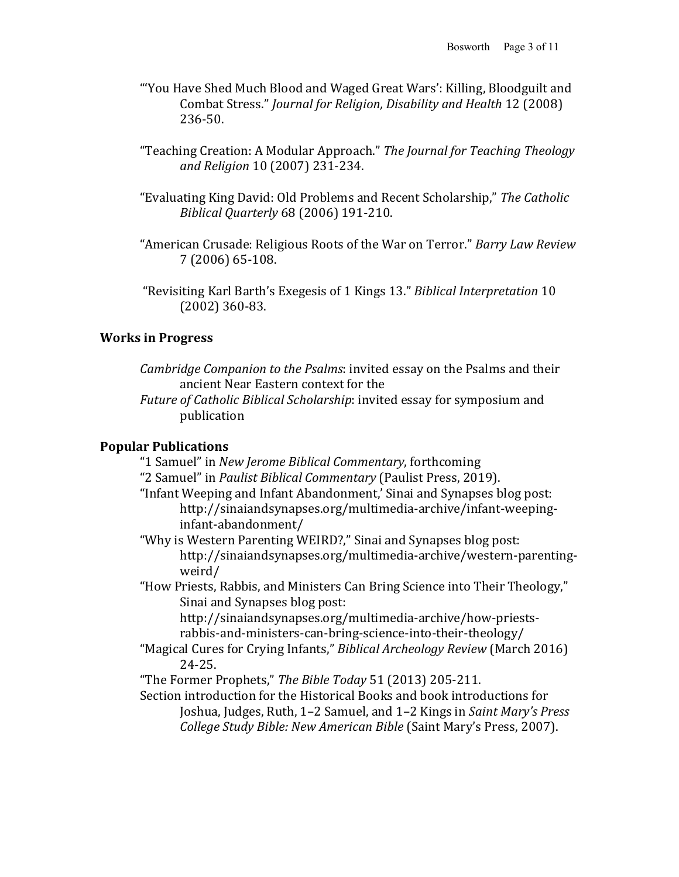- "'You Have Shed Much Blood and Waged Great Wars': Killing, Bloodguilt and Combat Stress." *Journal for Religion, Disability and Health* 12 (2008) 236-50.
- "Teaching Creation: A Modular Approach." The Journal for Teaching Theology *and Religion* 10 (2007) 231-234.
- "Evaluating King David: Old Problems and Recent Scholarship," The Catholic *Biblical Quarterly* 68 (2006) 191-210.
- "American Crusade: Religious Roots of the War on Terror." *Barry Law Review* 7 (2006) 65-108.
- "Revisiting Karl Barth's Exegesis of 1 Kings 13." Biblical Interpretation 10  $(2002) 360 - 83.$

#### **Works in Progress**

- *Cambridge Companion to the Psalms*: invited essay on the Psalms and their ancient Near Eastern context for the
- *Future of Catholic Biblical Scholarship*: invited essay for symposium and publication

#### **Popular Publications**

- "1 Samuel" in *New Jerome Biblical Commentary*, forthcoming "2 Samuel" in *Paulist Biblical Commentary* (Paulist Press, 2019).
- "Infant Weeping and Infant Abandonment,' Sinai and Synapses blog post: http://sinaiandsynapses.org/multimedia-archive/infant-weepinginfant-abandonment/
- "Why is Western Parenting WEIRD?," Sinai and Synapses blog post: http://sinaiandsynapses.org/multimedia-archive/western-parentingweird/

"How Priests, Rabbis, and Ministers Can Bring Science into Their Theology," Sinai and Synapses blog post:

http://sinaiandsynapses.org/multimedia-archive/how-priestsrabbis-and-ministers-can-bring-science-into-their-theology/

- "Magical Cures for Crying Infants," *Biblical Archeology Review* (March 2016) 24-25.
- "The Former Prophets," The Bible Today 51 (2013) 205-211.

Section introduction for the Historical Books and book introductions for Joshua, Judges, Ruth, 1-2 Samuel, and 1-2 Kings in *Saint Mary's Press College Study Bible: New American Bible* (Saint Mary's Press, 2007).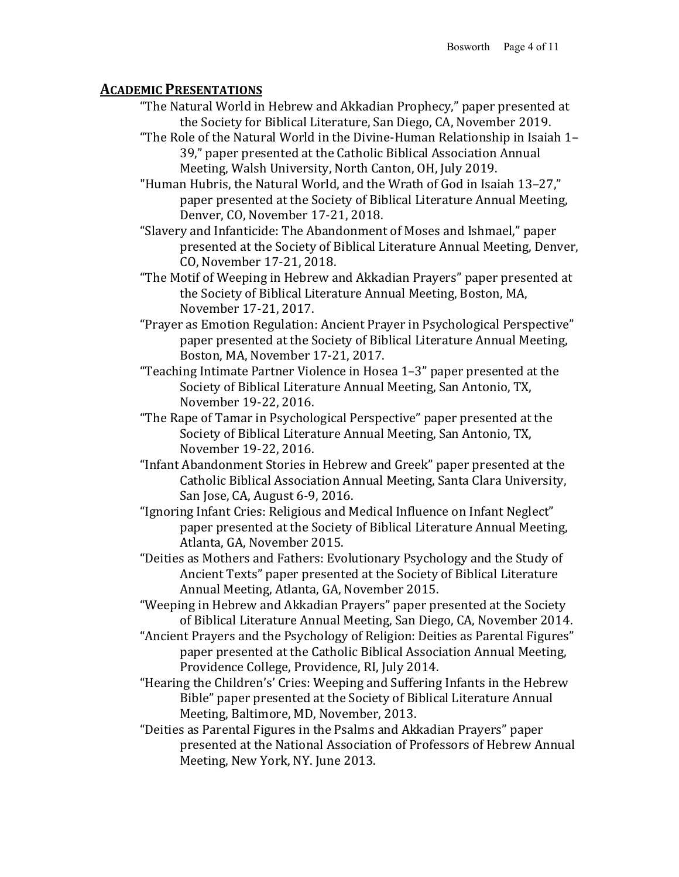## **ACADEMIC PRESENTATIONS**

- "The Natural World in Hebrew and Akkadian Prophecy," paper presented at the Society for Biblical Literature, San Diego, CA, November 2019.
- "The Role of the Natural World in the Divine-Human Relationship in Isaiah 1-39," paper presented at the Catholic Biblical Association Annual Meeting, Walsh University, North Canton, OH, July 2019.

"Human Hubris, the Natural World, and the Wrath of God in Isaiah 13-27," paper presented at the Society of Biblical Literature Annual Meeting, Denver, CO, November 17-21, 2018.

- "Slavery and Infanticide: The Abandonment of Moses and Ishmael," paper presented at the Society of Biblical Literature Annual Meeting, Denver, CO, November 17-21, 2018.
- "The Motif of Weeping in Hebrew and Akkadian Prayers" paper presented at the Society of Biblical Literature Annual Meeting, Boston, MA, November 17-21, 2017.
- "Prayer as Emotion Regulation: Ancient Prayer in Psychological Perspective" paper presented at the Society of Biblical Literature Annual Meeting, Boston, MA, November 17-21, 2017.
- "Teaching Intimate Partner Violence in Hosea  $1-3$ " paper presented at the Society of Biblical Literature Annual Meeting, San Antonio, TX, November 19-22, 2016.
- "The Rape of Tamar in Psychological Perspective" paper presented at the Society of Biblical Literature Annual Meeting, San Antonio, TX, November 19-22, 2016.
- "Infant Abandonment Stories in Hebrew and Greek" paper presented at the Catholic Biblical Association Annual Meeting, Santa Clara University, San Jose, CA, August 6-9, 2016.
- "Ignoring Infant Cries: Religious and Medical Influence on Infant Neglect" paper presented at the Society of Biblical Literature Annual Meeting, Atlanta, GA, November 2015.
- "Deities as Mothers and Fathers: Evolutionary Psychology and the Study of Ancient Texts" paper presented at the Society of Biblical Literature Annual Meeting, Atlanta, GA, November 2015.

"Weeping in Hebrew and Akkadian Prayers" paper presented at the Society of Biblical Literature Annual Meeting, San Diego, CA, November 2014.

- "Ancient Prayers and the Psychology of Religion: Deities as Parental Figures" paper presented at the Catholic Biblical Association Annual Meeting, Providence College, Providence, RI, July 2014.
- "Hearing the Children's' Cries: Weeping and Suffering Infants in the Hebrew Bible" paper presented at the Society of Biblical Literature Annual Meeting, Baltimore, MD, November, 2013.
- "Deities as Parental Figures in the Psalms and Akkadian Prayers" paper presented at the National Association of Professors of Hebrew Annual Meeting, New York, NY. June 2013.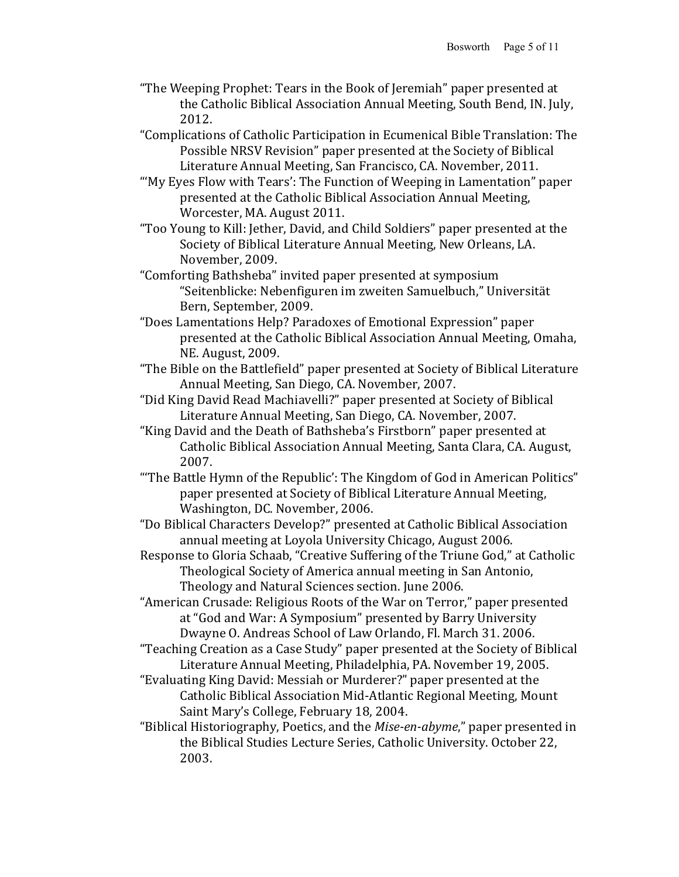- "The Weeping Prophet: Tears in the Book of Jeremiah" paper presented at the Catholic Biblical Association Annual Meeting, South Bend, IN. July, 2012.
- "Complications of Catholic Participation in Ecumenical Bible Translation: The Possible NRSV Revision" paper presented at the Society of Biblical Literature Annual Meeting, San Francisco, CA. November, 2011.
- "'My Eyes Flow with Tears': The Function of Weeping in Lamentation" paper presented at the Catholic Biblical Association Annual Meeting, Worcester, MA. August 2011.
- "Too Young to Kill: Jether, David, and Child Soldiers" paper presented at the Society of Biblical Literature Annual Meeting, New Orleans, LA. November, 2009.
- "Comforting Bathsheba" invited paper presented at symposium "Seitenblicke: Nebenfiguren im zweiten Samuelbuch," Universität Bern, September, 2009.
- "Does Lamentations Help? Paradoxes of Emotional Expression" paper presented at the Catholic Biblical Association Annual Meeting, Omaha, NE. August, 2009.
- "The Bible on the Battlefield" paper presented at Society of Biblical Literature Annual Meeting, San Diego, CA. November, 2007.
- "Did King David Read Machiavelli?" paper presented at Society of Biblical Literature Annual Meeting, San Diego, CA. November, 2007.
- "King David and the Death of Bathsheba's Firstborn" paper presented at Catholic Biblical Association Annual Meeting, Santa Clara, CA. August, 2007.
- "The Battle Hymn of the Republic': The Kingdom of God in American Politics" paper presented at Society of Biblical Literature Annual Meeting, Washington, DC. November, 2006.
- "Do Biblical Characters Develop?" presented at Catholic Biblical Association annual meeting at Loyola University Chicago, August 2006.
- Response to Gloria Schaab, "Creative Suffering of the Triune God," at Catholic Theological Society of America annual meeting in San Antonio, Theology and Natural Sciences section. June 2006.
- "American Crusade: Religious Roots of the War on Terror," paper presented at "God and War: A Symposium" presented by Barry University Dwayne O. Andreas School of Law Orlando, Fl. March 31. 2006.
- "Teaching Creation as a Case Study" paper presented at the Society of Biblical Literature Annual Meeting, Philadelphia, PA. November 19, 2005.
- "Evaluating King David: Messiah or Murderer?" paper presented at the Catholic Biblical Association Mid-Atlantic Regional Meeting, Mount Saint Mary's College, February 18, 2004.
- "Biblical Historiography, Poetics, and the *Mise-en-abyme*," paper presented in the Biblical Studies Lecture Series, Catholic University. October 22, 2003.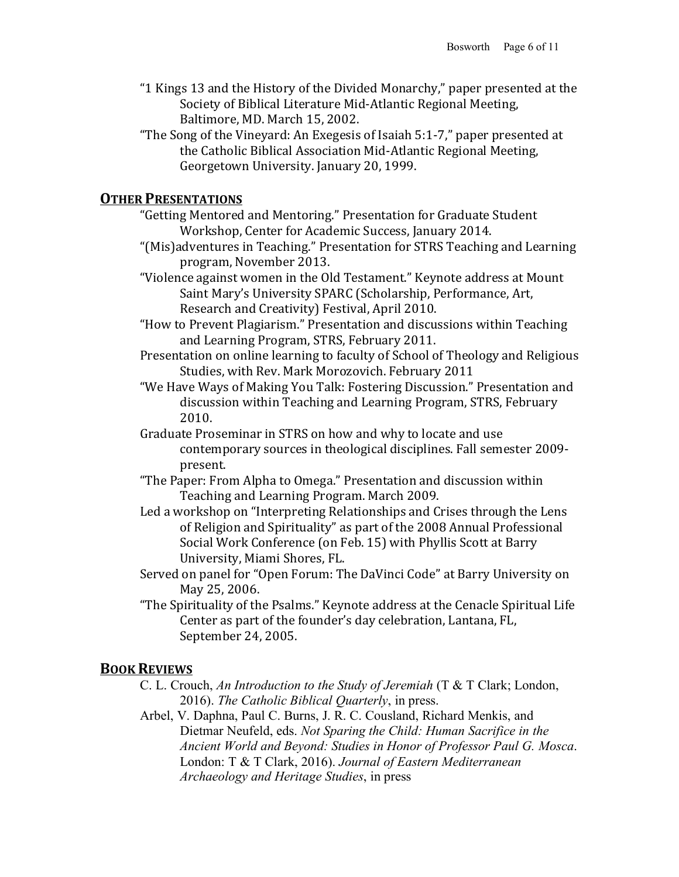- "1 Kings 13 and the History of the Divided Monarchy," paper presented at the Society of Biblical Literature Mid-Atlantic Regional Meeting, Baltimore, MD. March 15, 2002.
- "The Song of the Vineyard: An Exegesis of Isaiah 5:1-7," paper presented at the Catholic Biblical Association Mid-Atlantic Regional Meeting, Georgetown University. January 20, 1999.

## **OTHER PRESENTATIONS**

- "Getting Mentored and Mentoring." Presentation for Graduate Student Workshop, Center for Academic Success, January 2014.
- "(Mis)adventures in Teaching." Presentation for STRS Teaching and Learning program, November 2013.
- "Violence against women in the Old Testament." Keynote address at Mount Saint Mary's University SPARC (Scholarship, Performance, Art, Research and Creativity) Festival, April 2010.
- "How to Prevent Plagiarism." Presentation and discussions within Teaching and Learning Program, STRS, February 2011.
- Presentation on online learning to faculty of School of Theology and Religious Studies, with Rev. Mark Morozovich. February 2011
- "We Have Ways of Making You Talk: Fostering Discussion." Presentation and discussion within Teaching and Learning Program, STRS, February 2010.
- Graduate Proseminar in STRS on how and why to locate and use contemporary sources in theological disciplines. Fall semester 2009present.
- "The Paper: From Alpha to Omega." Presentation and discussion within Teaching and Learning Program. March 2009.
- Led a workshop on "Interpreting Relationships and Crises through the Lens of Religion and Spirituality" as part of the 2008 Annual Professional Social Work Conference (on Feb. 15) with Phyllis Scott at Barry University, Miami Shores, FL.
- Served on panel for "Open Forum: The DaVinci Code" at Barry University on May 25, 2006.
- "The Spirituality of the Psalms." Keynote address at the Cenacle Spiritual Life Center as part of the founder's day celebration, Lantana, FL, September 24, 2005.

## **BOOK REVIEWS**

- C. L. Crouch, *An Introduction to the Study of Jeremiah* (T & T Clark; London, 2016). *The Catholic Biblical Quarterly*, in press.
- Arbel, V. Daphna, Paul C. Burns, J. R. C. Cousland, Richard Menkis, and Dietmar Neufeld, eds. *Not Sparing the Child: Human Sacrifice in the Ancient World and Beyond: Studies in Honor of Professor Paul G. Mosca*. London: T & T Clark, 2016). *Journal of Eastern Mediterranean Archaeology and Heritage Studies*, in press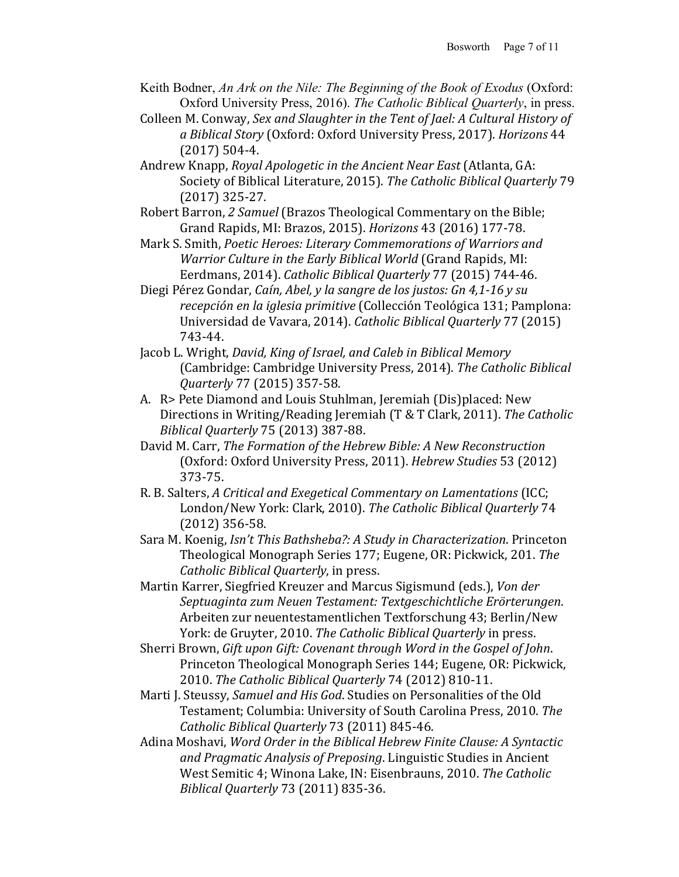- Keith Bodner, *An Ark on the Nile: The Beginning of the Book of Exodus* (Oxford: Oxford University Press, 2016). *The Catholic Biblical Quarterly*, in press.
- Colleen M. Conway, *Sex and Slaughter in the Tent of Jael: A Cultural History of a Biblical Story* (Oxford: Oxford University Press, 2017). *Horizons* 44  $(2017)$  504-4.
- Andrew Knapp, *Royal Apologetic in the Ancient Near East* (Atlanta, GA: Society of Biblical Literature, 2015). The Catholic Biblical Quarterly 79  $(2017)$  325-27.
- Robert Barron, 2 Samuel (Brazos Theological Commentary on the Bible; Grand Rapids, MI: Brazos, 2015). *Horizons* 43 (2016) 177-78.
- Mark S. Smith, *Poetic Heroes: Literary Commemorations of Warriors and Warrior Culture in the Early Biblical World* (Grand Rapids, MI: Eerdmans, 2014). *Catholic Biblical Quarterly* 77 (2015) 744-46.
- Diegi Pérez Gondar, *Caín, Abel, y la sangre de los justos: Gn 4,1-16 y su recepción en la iglesia primitive* (Collección Teológica 131; Pamplona: Universidad de Vavara, 2014). *Catholic Biblical Quarterly* 77 (2015) 743-44.
- Jacob L. Wright, *David, King of Israel, and Caleb in Biblical Memory* (Cambridge: Cambridge University Press, 2014). The Catholic Biblical *Quarterly* 77 (2015) 357-58.
- A. R> Pete Diamond and Louis Stuhlman, Jeremiah (Dis)placed: New Directions in Writing/Reading Jeremiah (T & T Clark, 2011). The Catholic *Biblical Quarterly* 75 (2013) 387-88.
- David M. Carr, *The Formation of the Hebrew Bible: A New Reconstruction* (Oxford: Oxford University Press, 2011). *Hebrew Studies* 53 (2012) 373-75.
- R. B. Salters, A Critical and Exegetical Commentary on Lamentations (ICC; London/New York: Clark, 2010). The Catholic Biblical Quarterly 74  $(2012)$  356-58.
- Sara M. Koenig, *Isn't This Bathsheba?: A Study in Characterization*. Princeton Theological Monograph Series 177; Eugene, OR: Pickwick, 201. The *Catholic Biblical Quarterly*, in press.
- Martin Karrer, Siegfried Kreuzer and Marcus Sigismund (eds.), *Von der Septuaginta zum Neuen Testament: Textgeschichtliche Erörterungen*. Arbeiten zur neuentestamentlichen Textforschung 43; Berlin/New York: de Gruyter, 2010. The Catholic Biblical Quarterly in press.
- Sherri Brown, *Gift upon Gift: Covenant through Word in the Gospel of John.* Princeton Theological Monograph Series 144; Eugene, OR: Pickwick, 2010. *The Catholic Biblical Quarterly* 74 (2012) 810-11.
- Marti J. Steussy, *Samuel and His God*. Studies on Personalities of the Old Testament; Columbia: University of South Carolina Press, 2010. The *Catholic Biblical Quarterly* 73 (2011) 845-46.
- Adina Moshavi, *Word Order in the Biblical Hebrew Finite Clause: A Syntactic* and Pragmatic Analysis of Preposing. Linguistic Studies in Ancient West Semitic 4; Winona Lake, IN: Eisenbrauns, 2010. The Catholic *Biblical Quarterly* 73 (2011) 835-36.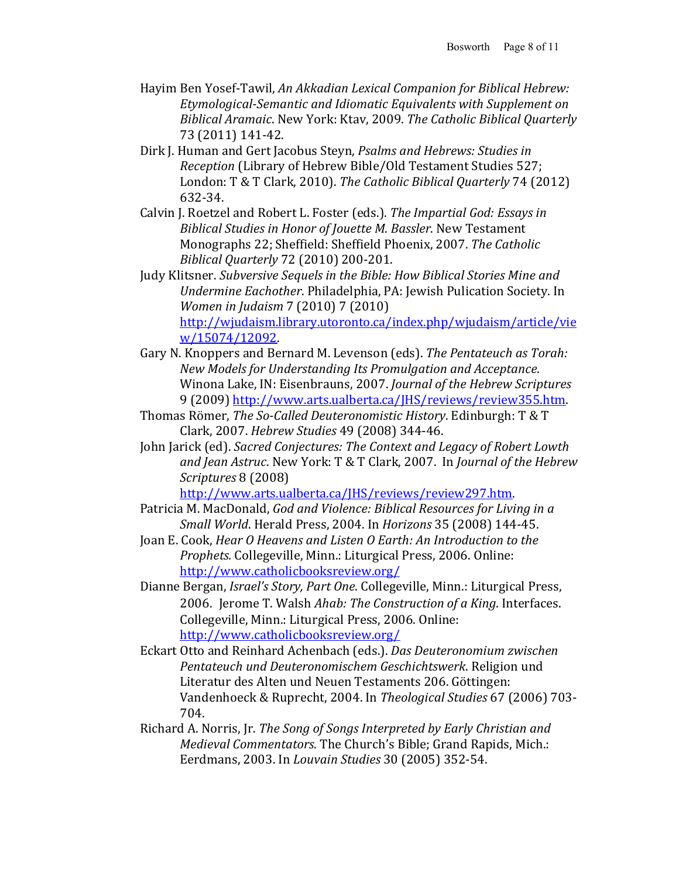- Hayim Ben Yosef-Tawil, An Akkadian Lexical Companion for Biblical Hebrew: Etymological-Semantic and Idiomatic Equivalents with Supplement on *Biblical Aramaic*. New York: Ktav, 2009. *The Catholic Biblical Quarterly* 73 (2011) 141-42.
- Dirk J. Human and Gert Jacobus Steyn, *Psalms and Hebrews: Studies in Reception* (Library of Hebrew Bible/Old Testament Studies 527; London: T & T Clark, 2010). The Catholic Biblical Quarterly 74 (2012) 632-34.
- Calvin J. Roetzel and Robert L. Foster (eds.). The Impartial God: Essays in *Biblical Studies in Honor of Jouette M. Bassler*. New Testament Monographs 22; Sheffield: Sheffield Phoenix, 2007. *The Catholic Biblical Quarterly* 72 (2010) 200-201.
- Judy Klitsner. Subversive Sequels in the Bible: How Biblical Stories Mine and *Undermine Eachother*. Philadelphia, PA: Jewish Pulication Society. In *Women in Judaism* 7 (2010) 7 (2010) http://wjudaism.library.utoronto.ca/index.php/wjudaism/article/vie w/15074/12092.
- Gary N. Knoppers and Bernard M. Levenson (eds). The Pentateuch as Torah: *New Models for Understanding Its Promulgation and Acceptance*. Winona Lake, IN: Eisenbrauns, 2007. *Journal of the Hebrew Scriptures* 9 (2009) http://www.arts.ualberta.ca/JHS/reviews/review355.htm.
- Thomas Römer, *The So-Called Deuteronomistic History*. Edinburgh: T & T Clark, 2007. *Hebrew Studies* 49 (2008) 344-46.
- John Jarick (ed). *Sacred Conjectures: The Context and Legacy of Robert Lowth* and *Jean Astruc*. New York: T & T Clark, 2007. In *Journal of the Hebrew Scriptures* 8 (2008)

http://www.arts.ualberta.ca/JHS/reviews/review297.htm. 

- Patricia M. MacDonald, *God and Violence: Biblical Resources for Living in a Small World*. Herald Press, 2004. In *Horizons* 35 (2008) 144-45.
- Joan E. Cook, *Hear O Heavens and Listen O Earth: An Introduction to the Prophets.* Collegeville, Minn.: Liturgical Press, 2006. Online: http://www.catholicbooksreview.org/
- Dianne Bergan, *Israel's Story, Part One*. Collegeville, Minn.: Liturgical Press, 2006. Jerome T. Walsh *Ahab: The Construction of a King*. Interfaces. Collegeville, Minn.: Liturgical Press, 2006. Online: http://www.catholicbooksreview.org/
- Eckart Otto and Reinhard Achenbach (eds.). *Das Deuteronomium zwischen Pentateuch und Deuteronomischem Geschichtswerk*. Religion und Literatur des Alten und Neuen Testaments 206. Göttingen: Vandenhoeck & Ruprecht, 2004. In *Theological Studies* 67 (2006) 703- 704.
- Richard A. Norris, Jr. *The Song of Songs Interpreted by Early Christian and Medieval Commentators*. The Church's Bible; Grand Rapids, Mich.: Eerdmans, 2003. In *Louvain Studies* 30 (2005) 352-54.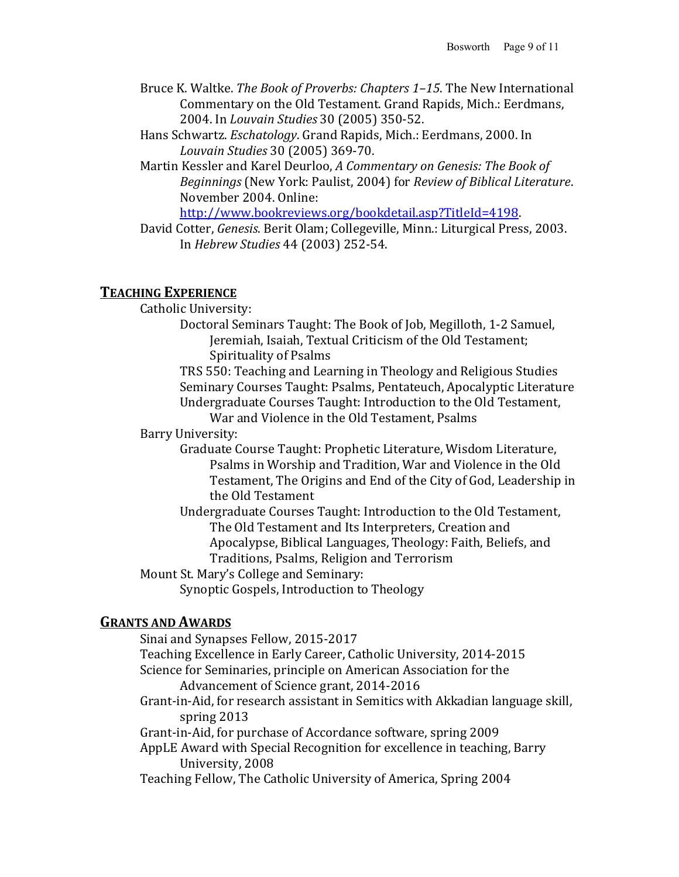- Bruce K. Waltke. *The Book of Proverbs: Chapters 1–15*. The New International Commentary on the Old Testament. Grand Rapids, Mich.: Eerdmans, 2004. In *Louvain Studies* 30 (2005) 350-52.
- Hans Schwartz. *Eschatology*. Grand Rapids, Mich.: Eerdmans, 2000. In *Louvain Studies* 30 (2005) 369-70.
- Martin Kessler and Karel Deurloo, A Commentary on Genesis: The Book of *Beginnings* (New York: Paulist, 2004) for *Review of Biblical Literature*. November 2004. Online:

http://www.bookreviews.org/bookdetail.asp?TitleId=4198. 

David Cotter, *Genesis*. Berit Olam; Collegeville, Minn.: Liturgical Press, 2003. In *Hebrew Studies* 44 (2003) 252-54.

## **TEACHING EXPERIENCE**

Catholic University:

Doctoral Seminars Taught: The Book of Job, Megilloth, 1-2 Samuel, Jeremiah, Isaiah, Textual Criticism of the Old Testament; Spirituality of Psalms

TRS 550: Teaching and Learning in Theology and Religious Studies Seminary Courses Taught: Psalms, Pentateuch, Apocalyptic Literature Undergraduate Courses Taught: Introduction to the Old Testament, War and Violence in the Old Testament, Psalms

Barry University:

- Graduate Course Taught: Prophetic Literature, Wisdom Literature, Psalms in Worship and Tradition, War and Violence in the Old Testament, The Origins and End of the City of God, Leadership in the Old Testament
- Undergraduate Courses Taught: Introduction to the Old Testament, The Old Testament and Its Interpreters, Creation and Apocalypse, Biblical Languages, Theology: Faith, Beliefs, and Traditions, Psalms, Religion and Terrorism

Mount St. Mary's College and Seminary:

Synoptic Gospels, Introduction to Theology

## **GRANTS AND AWARDS**

Sinai and Synapses Fellow, 2015-2017 Teaching Excellence in Early Career, Catholic University, 2014-2015 Science for Seminaries, principle on American Association for the Advancement of Science grant, 2014-2016 Grant-in-Aid, for research assistant in Semitics with Akkadian language skill, spring  $2013$ Grant-in-Aid, for purchase of Accordance software, spring 2009 AppLE Award with Special Recognition for excellence in teaching, Barry University, 2008 Teaching Fellow, The Catholic University of America, Spring 2004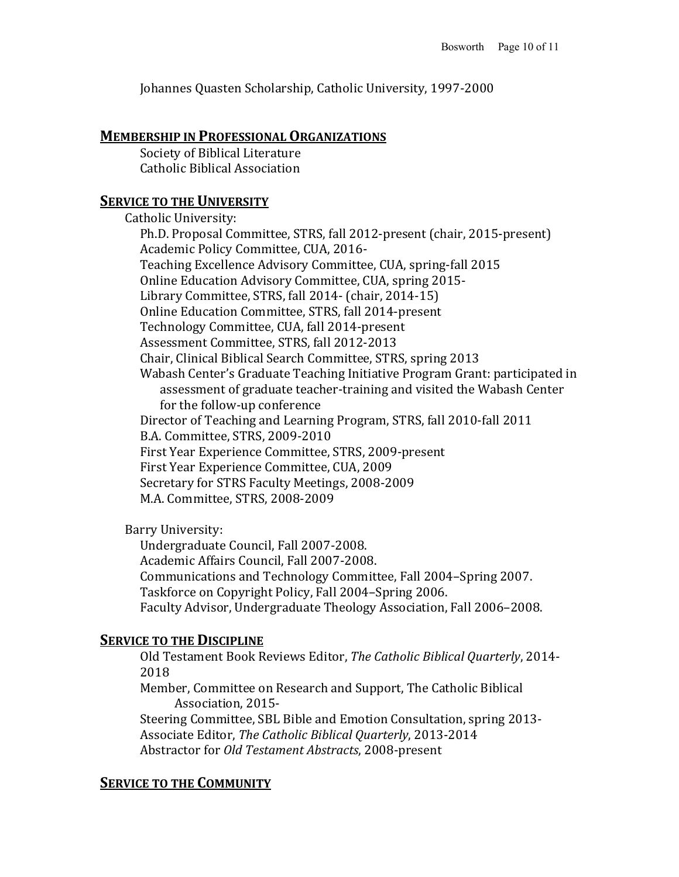Johannes Quasten Scholarship, Catholic University, 1997-2000

#### **MEMBERSHIP IN PROFESSIONAL ORGANIZATIONS**

Society of Biblical Literature Catholic Biblical Association

### **SERVICE TO THE UNIVERSITY**

Catholic University: Ph.D. Proposal Committee, STRS, fall 2012-present (chair, 2015-present) Academic Policy Committee, CUA, 2016-Teaching Excellence Advisory Committee, CUA, spring-fall 2015 Online Education Advisory Committee, CUA, spring 2015-Library Committee, STRS, fall 2014- (chair, 2014-15) Online Education Committee, STRS, fall 2014-present Technology Committee, CUA, fall 2014-present Assessment Committee, STRS, fall 2012-2013 Chair, Clinical Biblical Search Committee, STRS, spring 2013 Wabash Center's Graduate Teaching Initiative Program Grant: participated in assessment of graduate teacher-training and visited the Wabash Center for the follow-up conference Director of Teaching and Learning Program, STRS, fall 2010-fall 2011 B.A. Committee, STRS, 2009-2010 First Year Experience Committee, STRS, 2009-present First Year Experience Committee, CUA, 2009 Secretary for STRS Faculty Meetings, 2008-2009 M.A. Committee, STRS, 2008-2009

Barry University:

Undergraduate Council, Fall 2007-2008. Academic Affairs Council, Fall 2007-2008. Communications and Technology Committee, Fall 2004–Spring 2007. Taskforce on Copyright Policy, Fall 2004–Spring 2006. Faculty Advisor, Undergraduate Theology Association, Fall 2006–2008.

## **SERVICE TO THE DISCIPLINE**

Old Testament Book Reviews Editor, *The Catholic Biblical Quarterly*, 2014-2018

Member, Committee on Research and Support, The Catholic Biblical Association, 2015-

Steering Committee, SBL Bible and Emotion Consultation, spring 2013-Associate Editor, *The Catholic Biblical Quarterly*, 2013-2014 Abstractor for *Old Testament Abstracts*, 2008-present

## **SERVICE TO THE COMMUNITY**